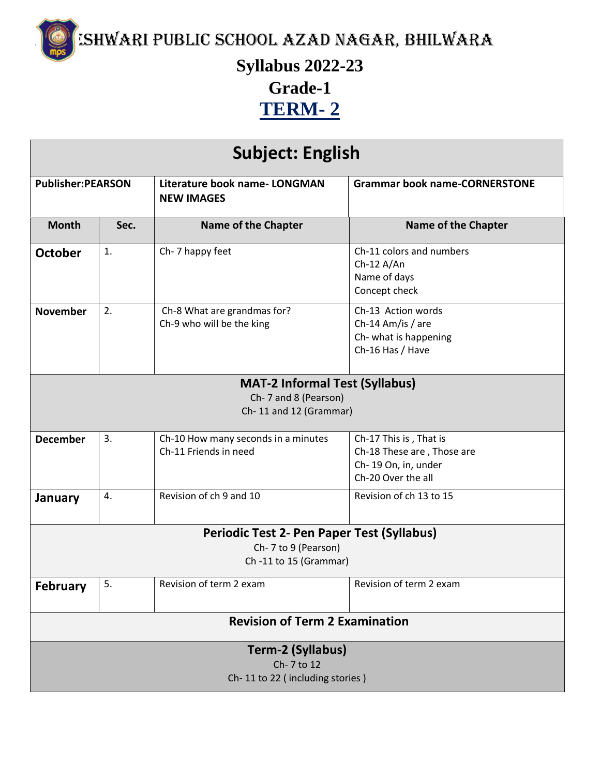

MISHWARI PUBLIC SCHOOL AZAD NAGAR, BHILWARA

## **Syllabus 2022-23 Grade-1 TERM- 2**

| <b>Subject: English</b>                                                                            |                                 |                                                              |                                                                                                   |  |
|----------------------------------------------------------------------------------------------------|---------------------------------|--------------------------------------------------------------|---------------------------------------------------------------------------------------------------|--|
| <b>Publisher:PEARSON</b>                                                                           |                                 | Literature book name- LONGMAN<br><b>NEW IMAGES</b>           | <b>Grammar book name-CORNERSTONE</b>                                                              |  |
| <b>Month</b>                                                                                       | Sec.                            | <b>Name of the Chapter</b>                                   | <b>Name of the Chapter</b>                                                                        |  |
| October                                                                                            | 1.                              | Ch-7 happy feet                                              | Ch-11 colors and numbers<br>$Ch-12 A/An$<br>Name of days<br>Concept check                         |  |
| <b>November</b>                                                                                    | 2.                              | Ch-8 What are grandmas for?<br>Ch-9 who will be the king     | Ch-13 Action words<br>Ch-14 Am/is / are<br>Ch- what is happening<br>Ch-16 Has / Have              |  |
| <b>MAT-2 Informal Test (Syllabus)</b>                                                              |                                 |                                                              |                                                                                                   |  |
|                                                                                                    |                                 | Ch-7 and 8 (Pearson)                                         |                                                                                                   |  |
|                                                                                                    |                                 | Ch-11 and 12 (Grammar)                                       |                                                                                                   |  |
|                                                                                                    |                                 |                                                              |                                                                                                   |  |
| <b>December</b>                                                                                    | 3.                              | Ch-10 How many seconds in a minutes<br>Ch-11 Friends in need | Ch-17 This is, That is<br>Ch-18 These are, Those are<br>Ch-19 On, in, under<br>Ch-20 Over the all |  |
| January                                                                                            | 4.                              | Revision of ch 9 and 10                                      | Revision of ch 13 to 15                                                                           |  |
| <b>Periodic Test 2- Pen Paper Test (Syllabus)</b><br>Ch-7 to 9 (Pearson)<br>Ch -11 to 15 (Grammar) |                                 |                                                              |                                                                                                   |  |
| <b>February</b>                                                                                    | 5.                              | Revision of term 2 exam                                      | Revision of term 2 exam                                                                           |  |
| <b>Revision of Term 2 Examination</b>                                                              |                                 |                                                              |                                                                                                   |  |
| Term-2 (Syllabus)<br>Ch-7 to 12                                                                    |                                 |                                                              |                                                                                                   |  |
|                                                                                                    | Ch-11 to 22 (including stories) |                                                              |                                                                                                   |  |
|                                                                                                    |                                 |                                                              |                                                                                                   |  |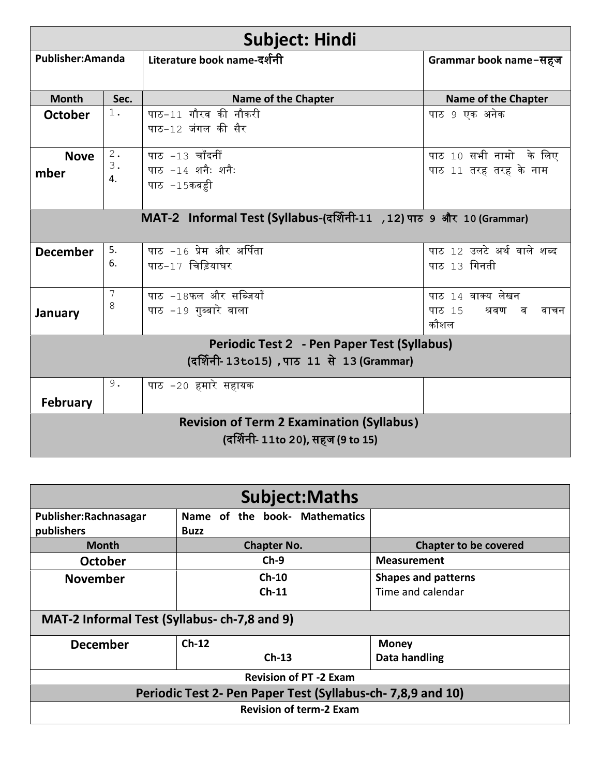| <b>Subject: Hindi</b>                                                |                |                             |                              |
|----------------------------------------------------------------------|----------------|-----------------------------|------------------------------|
| Publisher: Amanda                                                    |                | Literature book name-दर्शनी | Grammar book name-सहज        |
|                                                                      |                |                             |                              |
| <b>Month</b>                                                         | Sec.           | <b>Name of the Chapter</b>  | <b>Name of the Chapter</b>   |
| <b>October</b>                                                       | $1$ .          | पाठ-11 गौरव की नौकरी        |                              |
|                                                                      |                | पाठ-12 जंगल की सैर          |                              |
| <b>Nove</b>                                                          | 2.             | पाठ -13 चाँदनीं             | पाठ 10 सभी नामो के लिए       |
| mber                                                                 | 3.             | पाठ -14 शनैः शनैः           | पाठ 11 तरह तरह के नाम        |
|                                                                      | 4.             | पाठ -15कबड़ी                |                              |
|                                                                      |                |                             |                              |
| MAT-2 Informal Test (Syllabus-(दर्शिनी-11, 12) पाठ 9 और 10 (Grammar) |                |                             |                              |
|                                                                      |                |                             |                              |
| <b>December</b>                                                      | 5.             | पाठ −16 प्रेम और अर्पिता    | पाठ 12 उलटे अर्थ वाले शब्द   |
|                                                                      | 6.             | पाठ-17 चिड़ियाघर            | पाठ 13 गिनती                 |
|                                                                      |                |                             |                              |
|                                                                      | $\overline{7}$ | पाठ -18फल और सब्जियाँ       | पाठ 14 वाक्य लेखन            |
| January                                                              | 8              | पाठ −19 गुब्बारे वाला       | पाठ 15<br>श्रवण<br>व<br>वाचन |
|                                                                      |                |                             | कौशल                         |
| Periodic Test 2 - Pen Paper Test (Syllabus)                          |                |                             |                              |
| (दर्शिनी- 13to15), पाठ 11 से 13 (Grammar)                            |                |                             |                              |
|                                                                      | 9.             | पाठ −20 हमारे सहायक         |                              |
| <b>February</b>                                                      |                |                             |                              |
| <b>Revision of Term 2 Examination (Syllabus)</b>                     |                |                             |                              |
| (दर्शिनी- 11to 20), सहज (9 to 15)                                    |                |                             |                              |
|                                                                      |                |                             |                              |

| <b>Subject:Maths</b>                                        |                               |                              |  |  |
|-------------------------------------------------------------|-------------------------------|------------------------------|--|--|
| Publisher: Rachnasagar                                      | Name of the book- Mathematics |                              |  |  |
| publishers                                                  | <b>Buzz</b>                   |                              |  |  |
| <b>Month</b>                                                | <b>Chapter No.</b>            | <b>Chapter to be covered</b> |  |  |
| <b>October</b>                                              | $Ch-9$                        | <b>Measurement</b>           |  |  |
| <b>November</b>                                             | $Ch-10$                       | <b>Shapes and patterns</b>   |  |  |
|                                                             | $Ch-11$                       | Time and calendar            |  |  |
| MAT-2 Informal Test (Syllabus- ch-7,8 and 9)                |                               |                              |  |  |
| <b>December</b>                                             | $Ch-12$                       | <b>Money</b>                 |  |  |
|                                                             | $Ch-13$                       | Data handling                |  |  |
| <b>Revision of PT -2 Exam</b>                               |                               |                              |  |  |
| Periodic Test 2- Pen Paper Test (Syllabus-ch- 7,8,9 and 10) |                               |                              |  |  |
| <b>Revision of term-2 Exam</b>                              |                               |                              |  |  |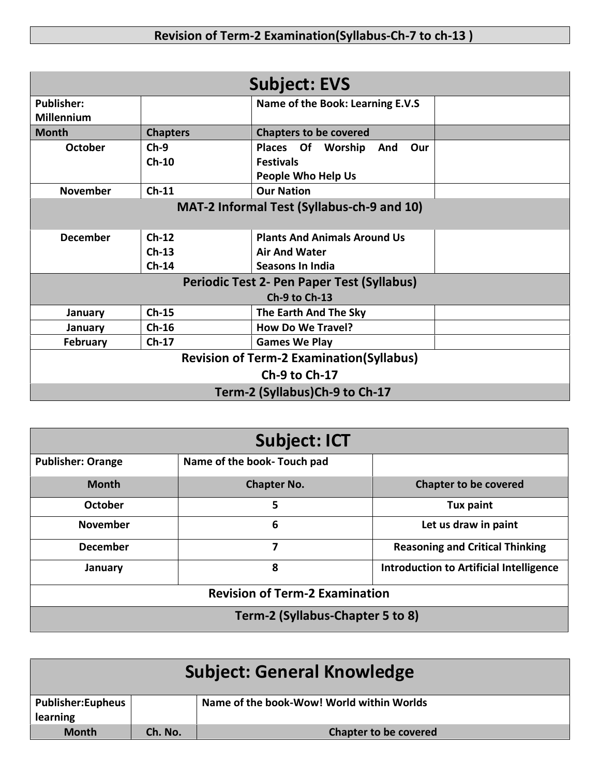| <b>Subject: EVS</b>                               |                 |                                     |  |
|---------------------------------------------------|-----------------|-------------------------------------|--|
| <b>Publisher:</b><br><b>Millennium</b>            |                 | Name of the Book: Learning E.V.S    |  |
| <b>Month</b>                                      | <b>Chapters</b> | <b>Chapters to be covered</b>       |  |
| <b>October</b>                                    | $Ch-9$          | Places Of Worship<br>And<br>Our     |  |
|                                                   | $Ch-10$         | <b>Festivals</b>                    |  |
|                                                   |                 | <b>People Who Help Us</b>           |  |
| <b>November</b>                                   | $Ch-11$         | <b>Our Nation</b>                   |  |
| MAT-2 Informal Test (Syllabus-ch-9 and 10)        |                 |                                     |  |
| <b>December</b>                                   | $Ch-12$         | <b>Plants And Animals Around Us</b> |  |
|                                                   | $Ch-13$         | <b>Air And Water</b>                |  |
|                                                   | $Ch-14$         | Seasons In India                    |  |
| <b>Periodic Test 2- Pen Paper Test (Syllabus)</b> |                 |                                     |  |
| Ch-9 to Ch-13                                     |                 |                                     |  |
| January                                           | $Ch-15$         | The Earth And The Sky               |  |
| January                                           | $Ch-16$         | <b>How Do We Travel?</b>            |  |
| <b>February</b>                                   | $Ch-17$         | <b>Games We Play</b>                |  |
| <b>Revision of Term-2 Examination (Syllabus)</b>  |                 |                                     |  |
| Ch-9 to Ch-17                                     |                 |                                     |  |
| Term-2 (Syllabus)Ch-9 to Ch-17                    |                 |                                     |  |

| <b>Subject: ICT</b>                   |                             |                                                |
|---------------------------------------|-----------------------------|------------------------------------------------|
| <b>Publisher: Orange</b>              | Name of the book- Touch pad |                                                |
| <b>Month</b>                          | <b>Chapter No.</b>          | <b>Chapter to be covered</b>                   |
| October                               | 5                           | Tux paint                                      |
| <b>November</b>                       | 6                           | Let us draw in paint                           |
| <b>December</b>                       | 7                           | <b>Reasoning and Critical Thinking</b>         |
| January                               | 8                           | <b>Introduction to Artificial Intelligence</b> |
| <b>Revision of Term-2 Examination</b> |                             |                                                |
| Term-2 (Syllabus-Chapter 5 to 8)      |                             |                                                |

| Subject: General Knowledge |         |                                           |
|----------------------------|---------|-------------------------------------------|
| <b>Publisher:Eupheus</b>   |         | Name of the book-Wow! World within Worlds |
| learning                   |         |                                           |
| <b>Month</b>               | Ch. No. | <b>Chapter to be covered</b>              |